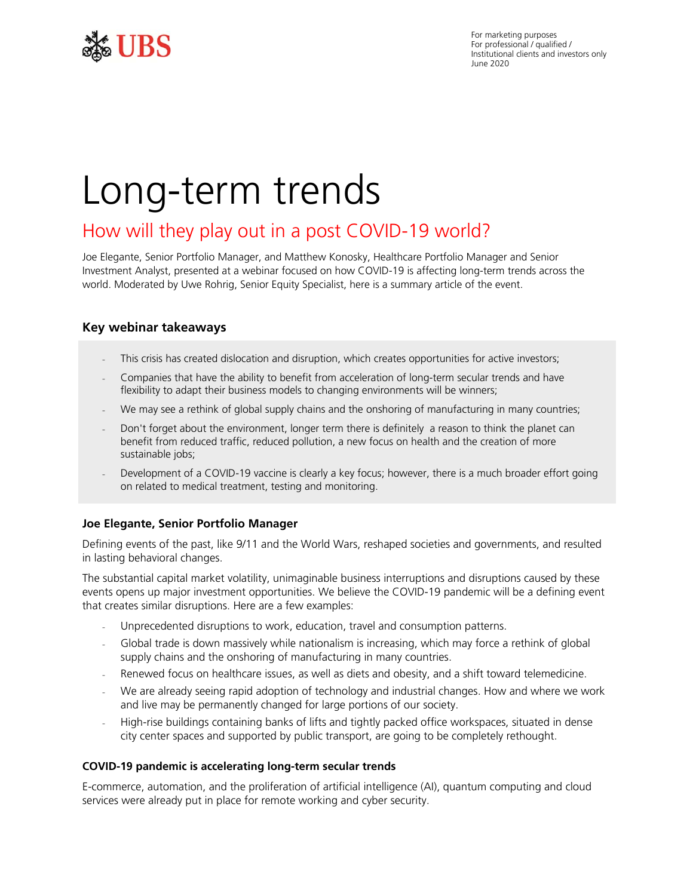

For marketing purposes For professional / qualified / Institutional clients and investors only June 2020

# Long-term trends

## How will they play out in a post COVID-19 world?

Joe Elegante, Senior Portfolio Manager, and Matthew Konosky, Healthcare Portfolio Manager and Senior Investment Analyst, presented at a webinar focused on how COVID-19 is affecting long-term trends across the world. Moderated by Uwe Rohrig, Senior Equity Specialist, here is a summary article of the event.

## **Key webinar takeaways**

- This crisis has created dislocation and disruption, which creates opportunities for active investors;
- Companies that have the ability to benefit from acceleration of long-term secular trends and have flexibility to adapt their business models to changing environments will be winners;
- We may see a rethink of global supply chains and the onshoring of manufacturing in many countries;
- Don't forget about the environment, longer term there is definitely a reason to think the planet can benefit from reduced traffic, reduced pollution, a new focus on health and the creation of more sustainable jobs;
- Development of a COVID-19 vaccine is clearly a key focus; however, there is a much broader effort going on related to medical treatment, testing and monitoring.

#### **Joe Elegante, Senior Portfolio Manager**

Defining events of the past, like 9/11 and the World Wars, reshaped societies and governments, and resulted in lasting behavioral changes.

The substantial capital market volatility, unimaginable business interruptions and disruptions caused by these events opens up major investment opportunities. We believe the COVID-19 pandemic will be a defining event that creates similar disruptions. Here are a few examples:

- Unprecedented disruptions to work, education, travel and consumption patterns.
- Global trade is down massively while nationalism is increasing, which may force a rethink of global supply chains and the onshoring of manufacturing in many countries.
- Renewed focus on healthcare issues, as well as diets and obesity, and a shift toward telemedicine.
- We are already seeing rapid adoption of technology and industrial changes. How and where we work and live may be permanently changed for large portions of our society.
- High-rise buildings containing banks of lifts and tightly packed office workspaces, situated in dense city center spaces and supported by public transport, are going to be completely rethought.

#### **COVID-19 pandemic is accelerating long-term secular trends**

E-commerce, automation, and the proliferation of artificial intelligence (AI), quantum computing and cloud services were already put in place for remote working and cyber security.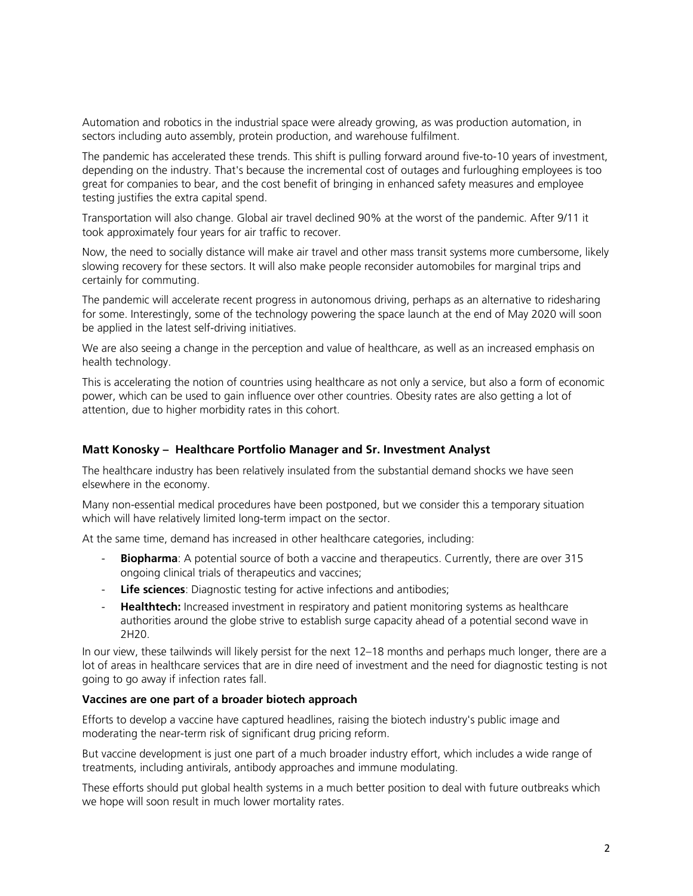Automation and robotics in the industrial space were already growing, as was production automation, in sectors including auto assembly, protein production, and warehouse fulfilment.

The pandemic has accelerated these trends. This shift is pulling forward around five-to-10 years of investment, depending on the industry. That's because the incremental cost of outages and furloughing employees is too great for companies to bear, and the cost benefit of bringing in enhanced safety measures and employee testing justifies the extra capital spend.

Transportation will also change. Global air travel declined 90% at the worst of the pandemic. After 9/11 it took approximately four years for air traffic to recover.

Now, the need to socially distance will make air travel and other mass transit systems more cumbersome, likely slowing recovery for these sectors. It will also make people reconsider automobiles for marginal trips and certainly for commuting.

The pandemic will accelerate recent progress in autonomous driving, perhaps as an alternative to ridesharing for some. Interestingly, some of the technology powering the space launch at the end of May 2020 will soon be applied in the latest self-driving initiatives.

We are also seeing a change in the perception and value of healthcare, as well as an increased emphasis on health technology.

This is accelerating the notion of countries using healthcare as not only a service, but also a form of economic power, which can be used to gain influence over other countries. Obesity rates are also getting a lot of attention, due to higher morbidity rates in this cohort.

#### **Matt Konosky – Healthcare Portfolio Manager and Sr. Investment Analyst**

The healthcare industry has been relatively insulated from the substantial demand shocks we have seen elsewhere in the economy.

Many non-essential medical procedures have been postponed, but we consider this a temporary situation which will have relatively limited long-term impact on the sector.

At the same time, demand has increased in other healthcare categories, including:

- **Biopharma**: A potential source of both a vaccine and therapeutics. Currently, there are over 315 ongoing clinical trials of therapeutics and vaccines;
- **Life sciences**: Diagnostic testing for active infections and antibodies;
- **Healthtech:** Increased investment in respiratory and patient monitoring systems as healthcare authorities around the globe strive to establish surge capacity ahead of a potential second wave in 2H20.

In our view, these tailwinds will likely persist for the next 12–18 months and perhaps much longer, there are a lot of areas in healthcare services that are in dire need of investment and the need for diagnostic testing is not going to go away if infection rates fall.

#### **Vaccines are one part of a broader biotech approach**

Efforts to develop a vaccine have captured headlines, raising the biotech industry's public image and moderating the near-term risk of significant drug pricing reform.

But vaccine development is just one part of a much broader industry effort, which includes a wide range of treatments, including antivirals, antibody approaches and immune modulating.

These efforts should put global health systems in a much better position to deal with future outbreaks which we hope will soon result in much lower mortality rates.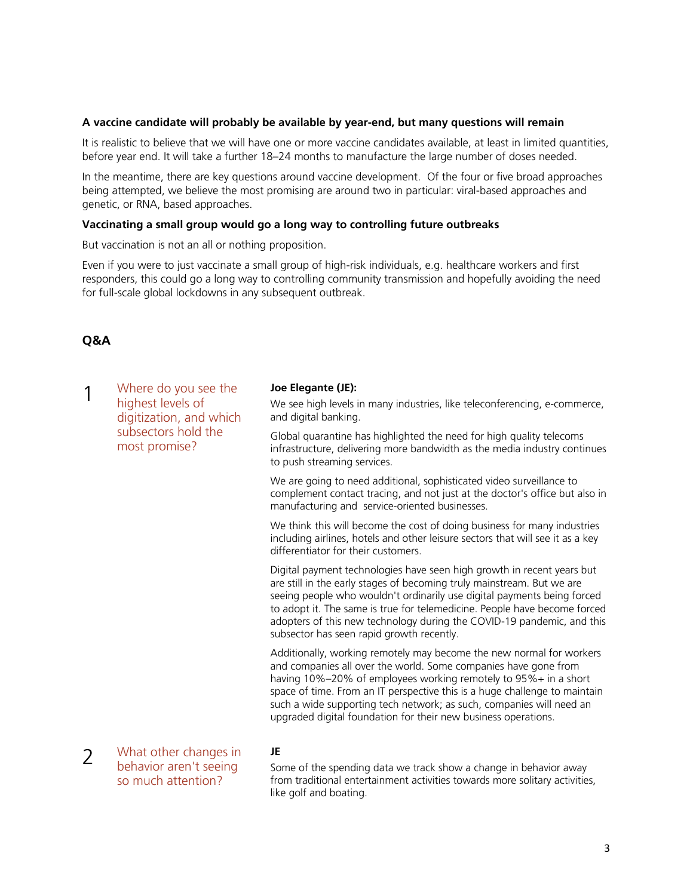#### **A vaccine candidate will probably be available by year-end, but many questions will remain**

It is realistic to believe that we will have one or more vaccine candidates available, at least in limited quantities, before year end. It will take a further 18–24 months to manufacture the large number of doses needed.

In the meantime, there are key questions around vaccine development. Of the four or five broad approaches being attempted, we believe the most promising are around two in particular: viral-based approaches and genetic, or RNA, based approaches.

#### **Vaccinating a small group would go a long way to controlling future outbreaks**

But vaccination is not an all or nothing proposition.

Even if you were to just vaccinate a small group of high-risk individuals, e.g. healthcare workers and first responders, this could go a long way to controlling community transmission and hopefully avoiding the need for full-scale global lockdowns in any subsequent outbreak.

## **Q&A**

| 1 | Where do you see the<br>highest levels of<br>digitization, and which<br>subsectors hold the<br>most promise? | Joe Elegante (JE):<br>We see high levels in many industries, like teleconferencing, e-commerce,<br>and digital banking.                                                                                                                                                                                                                                                                                                            |
|---|--------------------------------------------------------------------------------------------------------------|------------------------------------------------------------------------------------------------------------------------------------------------------------------------------------------------------------------------------------------------------------------------------------------------------------------------------------------------------------------------------------------------------------------------------------|
|   |                                                                                                              | Global quarantine has highlighted the need for high quality telecoms<br>infrastructure, delivering more bandwidth as the media industry continues<br>to push streaming services.                                                                                                                                                                                                                                                   |
|   |                                                                                                              | We are going to need additional, sophisticated video surveillance to<br>complement contact tracing, and not just at the doctor's office but also in<br>manufacturing and service-oriented businesses.                                                                                                                                                                                                                              |
|   |                                                                                                              | We think this will become the cost of doing business for many industries<br>including airlines, hotels and other leisure sectors that will see it as a key<br>differentiator for their customers.                                                                                                                                                                                                                                  |
|   |                                                                                                              | Digital payment technologies have seen high growth in recent years but<br>are still in the early stages of becoming truly mainstream. But we are<br>seeing people who wouldn't ordinarily use digital payments being forced<br>to adopt it. The same is true for telemedicine. People have become forced<br>adopters of this new technology during the COVID-19 pandemic, and this<br>subsector has seen rapid growth recently.    |
|   |                                                                                                              | Additionally, working remotely may become the new normal for workers<br>and companies all over the world. Some companies have gone from<br>having 10%-20% of employees working remotely to 95%+ in a short<br>space of time. From an IT perspective this is a huge challenge to maintain<br>such a wide supporting tech network; as such, companies will need an<br>upgraded digital foundation for their new business operations. |
|   | What other changes in                                                                                        | JE                                                                                                                                                                                                                                                                                                                                                                                                                                 |

2 What other changes in behavior aren't seeing so much attention?

Some of the spending data we track show a change in behavior away from traditional entertainment activities towards more solitary activities, like golf and boating.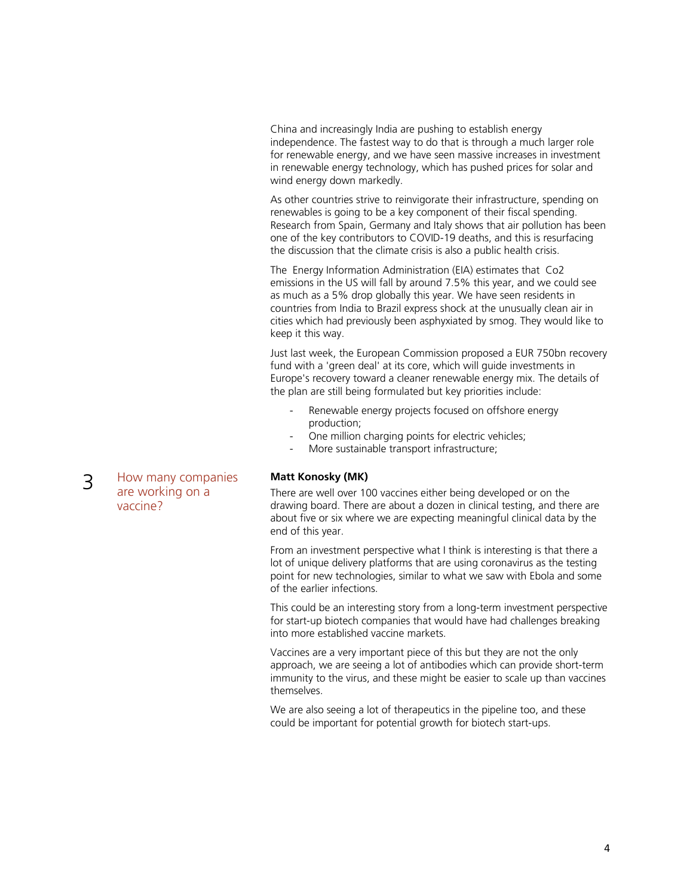China and increasingly India are pushing to establish energy independence. The fastest way to do that is through a much larger role for renewable energy, and we have seen massive increases in investment in renewable energy technology, which has pushed prices for solar and wind energy down markedly.

As other countries strive to reinvigorate their infrastructure, spending on renewables is going to be a key component of their fiscal spending. Research from Spain, Germany and Italy shows that air pollution has been one of the key contributors to COVID-19 deaths, and this is resurfacing the discussion that the climate crisis is also a public health crisis.

The Energy Information Administration (EIA) estimates that Co2 emissions in the US will fall by around 7.5% this year, and we could see as much as a 5% drop globally this year. We have seen residents in countries from India to Brazil express shock at the unusually clean air in cities which had previously been asphyxiated by smog. They would like to keep it this way.

Just last week, the European Commission proposed a EUR 750bn recovery fund with a 'green deal' at its core, which will guide investments in Europe's recovery toward a cleaner renewable energy mix. The details of the plan are still being formulated but key priorities include:

- Renewable energy projects focused on offshore energy production;
- One million charging points for electric vehicles;
- More sustainable transport infrastructure;

## **Matt Konosky (MK)**

There are well over 100 vaccines either being developed or on the drawing board. There are about a dozen in clinical testing, and there are about five or six where we are expecting meaningful clinical data by the end of this year.

From an investment perspective what I think is interesting is that there a lot of unique delivery platforms that are using coronavirus as the testing point for new technologies, similar to what we saw with Ebola and some of the earlier infections.

This could be an interesting story from a long-term investment perspective for start-up biotech companies that would have had challenges breaking into more established vaccine markets.

Vaccines are a very important piece of this but they are not the only approach, we are seeing a lot of antibodies which can provide short-term immunity to the virus, and these might be easier to scale up than vaccines themselves.

We are also seeing a lot of therapeutics in the pipeline too, and these could be important for potential growth for biotech start-ups.

3 How many companies are working on a vaccine?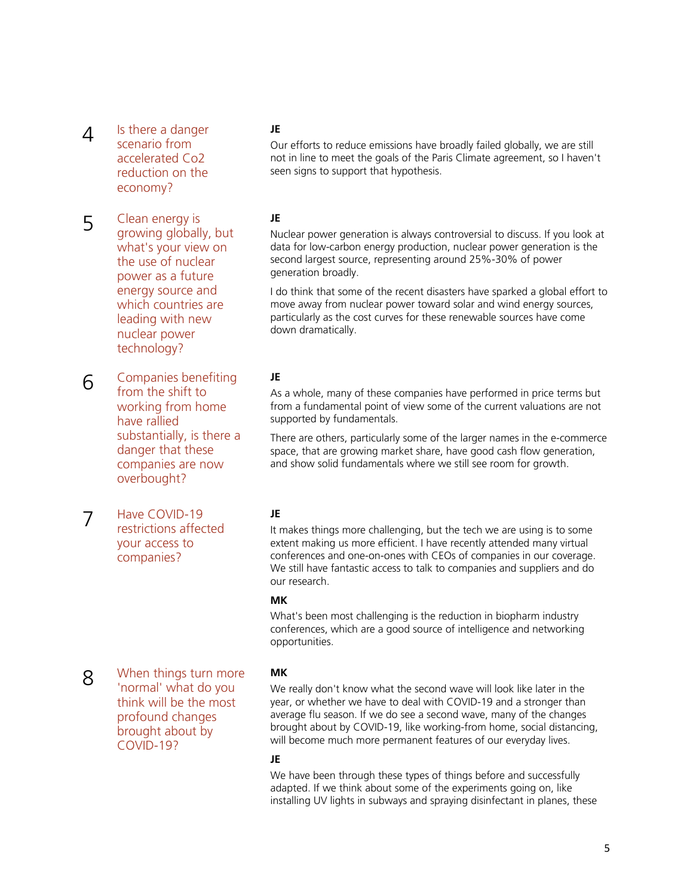- $\Delta$  Is there a danger scenario from accelerated Co2 reduction on the economy?
- 5 Clean energy is growing globally, but what's your view on the use of nuclear power as a future energy source and which countries are leading with new nuclear power technology?
- 6 Companies benefiting from the shift to working from home have rallied substantially, is there a danger that these companies are now overbought?

7 Have COVID-19 restrictions affected your access to companies?

#### **JE**

Our efforts to reduce emissions have broadly failed globally, we are still not in line to meet the goals of the Paris Climate agreement, so I haven't seen signs to support that hypothesis.

#### **JE**

Nuclear power generation is always controversial to discuss. If you look at data for low-carbon energy production, nuclear power generation is the second largest source, representing around 25%-30% of power generation broadly.

I do think that some of the recent disasters have sparked a global effort to move away from nuclear power toward solar and wind energy sources, particularly as the cost curves for these renewable sources have come down dramatically.

## **JE**

As a whole, many of these companies have performed in price terms but from a fundamental point of view some of the current valuations are not supported by fundamentals.

There are others, particularly some of the larger names in the e-commerce space, that are growing market share, have good cash flow generation, and show solid fundamentals where we still see room for growth.

## **JE**

It makes things more challenging, but the tech we are using is to some extent making us more efficient. I have recently attended many virtual conferences and one-on-ones with CEOs of companies in our coverage. We still have fantastic access to talk to companies and suppliers and do our research.

#### **MK**

What's been most challenging is the reduction in biopharm industry conferences, which are a good source of intelligence and networking opportunities.

8 When things turn more 'normal' what do you think will be the most profound changes brought about by COVID-19?

## **MK**

We really don't know what the second wave will look like later in the year, or whether we have to deal with COVID-19 and a stronger than average flu season. If we do see a second wave, many of the changes brought about by COVID-19, like working-from home, social distancing, will become much more permanent features of our everyday lives.

## **JE**

We have been through these types of things before and successfully adapted. If we think about some of the experiments going on, like installing UV lights in subways and spraying disinfectant in planes, these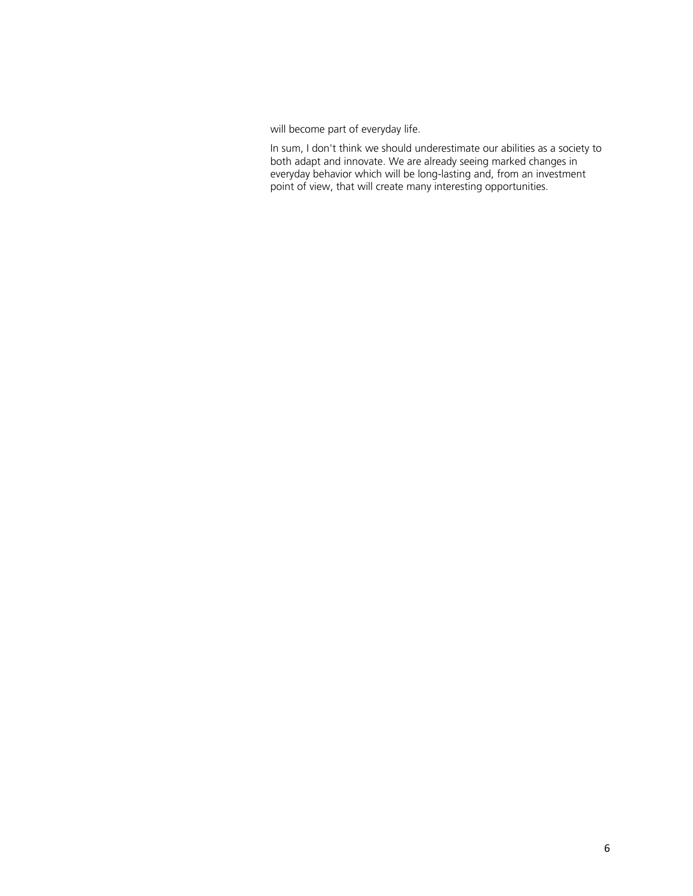will become part of everyday life.

In sum, I don't think we should underestimate our abilities as a society to both adapt and innovate. We are already seeing marked changes in everyday behavior which will be long-lasting and, from an investment point of view, that will create many interesting opportunities.